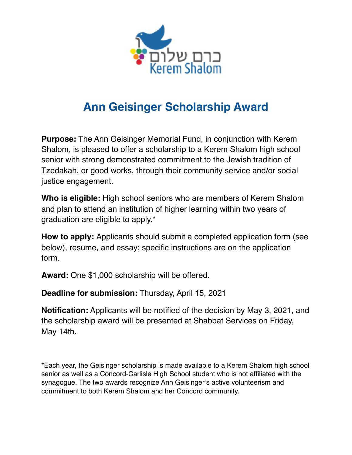

## **Ann Geisinger Scholarship Award**

**Purpose:** The Ann Geisinger Memorial Fund, in conjunction with Kerem Shalom, is pleased to offer a scholarship to a Kerem Shalom high school senior with strong demonstrated commitment to the Jewish tradition of Tzedakah, or good works, through their community service and/or social justice engagement.

**Who is eligible:** High school seniors who are members of Kerem Shalom and plan to attend an institution of higher learning within two years of graduation are eligible to apply.\*

**How to apply:** Applicants should submit a completed application form (see below), resume, and essay; specific instructions are on the application form.

**Award:** One \$1,000 scholarship will be offered.

**Deadline for submission:** Thursday, April 15, 2021

**Notification:** Applicants will be notified of the decision by May 3, 2021, and the scholarship award will be presented at Shabbat Services on Friday, May 14th.

\*Each year, the Geisinger scholarship is made available to a Kerem Shalom high school senior as well as a Concord-Carlisle High School student who is not affiliated with the synagogue. The two awards recognize Ann Geisinger's active volunteerism and commitment to both Kerem Shalom and her Concord community.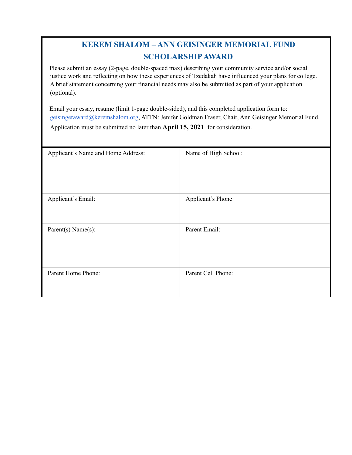## **KEREM SHALOM – ANN GEISINGER MEMORIAL FUND SCHOLARSHIP AWARD**

Please submit an essay (2-page, double-spaced max) describing your community service and/or social justice work and reflecting on how these experiences of Tzedakah have influenced your plans for college. A brief statement concerning your financial needs may also be submitted as part of your application (optional).

Email your essay, resume (limit 1-page double-sided), and this completed application form to: geisingeraward@keremshalom.org, ATTN: Jenifer Goldman Fraser, Chair, Ann Geisinger Memorial Fund. Application must be submitted no later than **April 15, 2021** for consideration.

| Applicant's Name and Home Address: | Name of High School: |
|------------------------------------|----------------------|
| Applicant's Email:                 | Applicant's Phone:   |
| Parent(s) Name(s):                 | Parent Email:        |
| Parent Home Phone:                 | Parent Cell Phone:   |